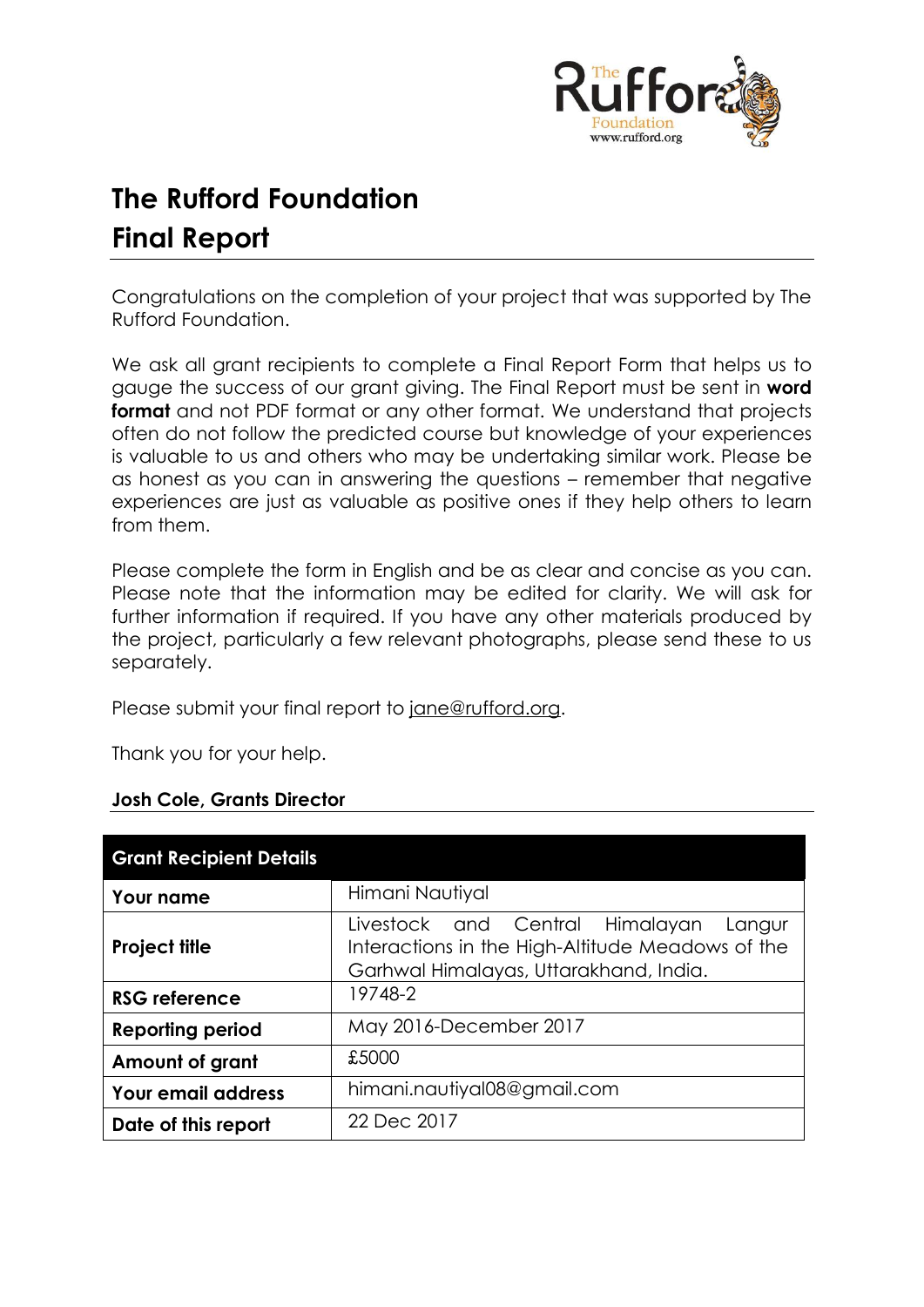

# **The Rufford Foundation Final Report**

Congratulations on the completion of your project that was supported by The Rufford Foundation.

We ask all grant recipients to complete a Final Report Form that helps us to gauge the success of our grant giving. The Final Report must be sent in **word format** and not PDF format or any other format. We understand that projects often do not follow the predicted course but knowledge of your experiences is valuable to us and others who may be undertaking similar work. Please be as honest as you can in answering the questions – remember that negative experiences are just as valuable as positive ones if they help others to learn from them.

Please complete the form in English and be as clear and concise as you can. Please note that the information may be edited for clarity. We will ask for further information if required. If you have any other materials produced by the project, particularly a few relevant photographs, please send these to us separately.

Please submit your final report to [jane@rufford.org.](mailto:jane@rufford.org)

Thank you for your help.

# **Josh Cole, Grants Director**

| <b>Grant Recipient Details</b> |                                                                                                                                         |  |  |  |  |  |
|--------------------------------|-----------------------------------------------------------------------------------------------------------------------------------------|--|--|--|--|--|
| <b>Your name</b>               | Himani Nautiyal                                                                                                                         |  |  |  |  |  |
| <b>Project title</b>           | Livestock and Central Himalayan<br>Langur<br>Interactions in the High-Altitude Meadows of the<br>Garhwal Himalayas, Uttarakhand, India. |  |  |  |  |  |
| <b>RSG reference</b>           | 19748-2                                                                                                                                 |  |  |  |  |  |
| <b>Reporting period</b>        | May 2016-December 2017                                                                                                                  |  |  |  |  |  |
| Amount of grant                | £5000                                                                                                                                   |  |  |  |  |  |
| <b>Your email address</b>      | himani.nautiyal08@gmail.com                                                                                                             |  |  |  |  |  |
| Date of this report            | 22 Dec 2017                                                                                                                             |  |  |  |  |  |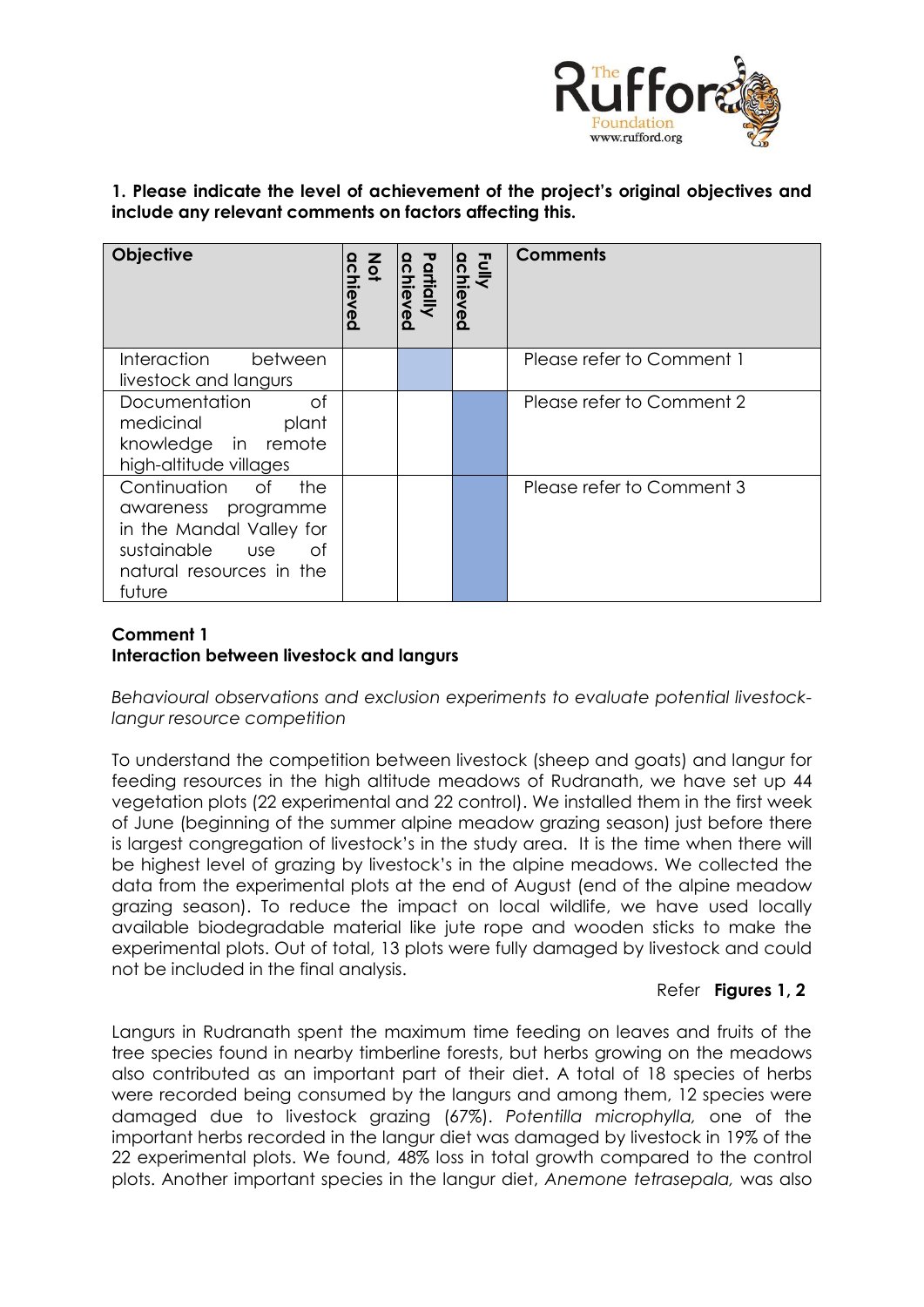

**1. Please indicate the level of achievement of the project's original objectives and include any relevant comments on factors affecting this.** 

| <b>Objective</b>                                                                                                                                  | Z<br>Q<br>achieved | artially<br><u>ichi</u><br>စ္တ | Fully<br>achi<br>Φ | <b>Comments</b>           |
|---------------------------------------------------------------------------------------------------------------------------------------------------|--------------------|--------------------------------|--------------------|---------------------------|
| <b>Interaction</b><br>between<br>livestock and langurs                                                                                            |                    |                                |                    | Please refer to Comment 1 |
| of<br>Documentation<br>medicinal<br>plant<br>knowledge in remote<br>high-altitude villages                                                        |                    |                                |                    | Please refer to Comment 2 |
| Continuation<br>the<br>of of<br>awareness programme<br>in the Mandal Valley for<br>sustainable<br>use<br>ot<br>natural resources in the<br>future |                    |                                |                    | Please refer to Comment 3 |

# **Comment 1 Interaction between livestock and langurs**

*Behavioural observations and exclusion experiments to evaluate potential livestocklangur resource competition*

To understand the competition between livestock (sheep and goats) and langur for feeding resources in the high altitude meadows of Rudranath, we have set up 44 vegetation plots (22 experimental and 22 control). We installed them in the first week of June (beginning of the summer alpine meadow grazing season) just before there is largest congregation of livestock's in the study area. It is the time when there will be highest level of grazing by livestock's in the alpine meadows. We collected the data from the experimental plots at the end of August (end of the alpine meadow grazing season). To reduce the impact on local wildlife, we have used locally available biodegradable material like jute rope and wooden sticks to make the experimental plots. Out of total, 13 plots were fully damaged by livestock and could not be included in the final analysis.

# Refer **Figures 1, 2**

Langurs in Rudranath spent the maximum time feeding on leaves and fruits of the tree species found in nearby timberline forests, but herbs growing on the meadows also contributed as an important part of their diet. A total of 18 species of herbs were recorded being consumed by the langurs and among them, 12 species were damaged due to livestock grazing (67%). *Potentilla microphylla,* one of the important herbs recorded in the langur diet was damaged by livestock in 19% of the 22 experimental plots. We found, 48% loss in total growth compared to the control plots. Another important species in the langur diet, *Anemone tetrasepala,* was also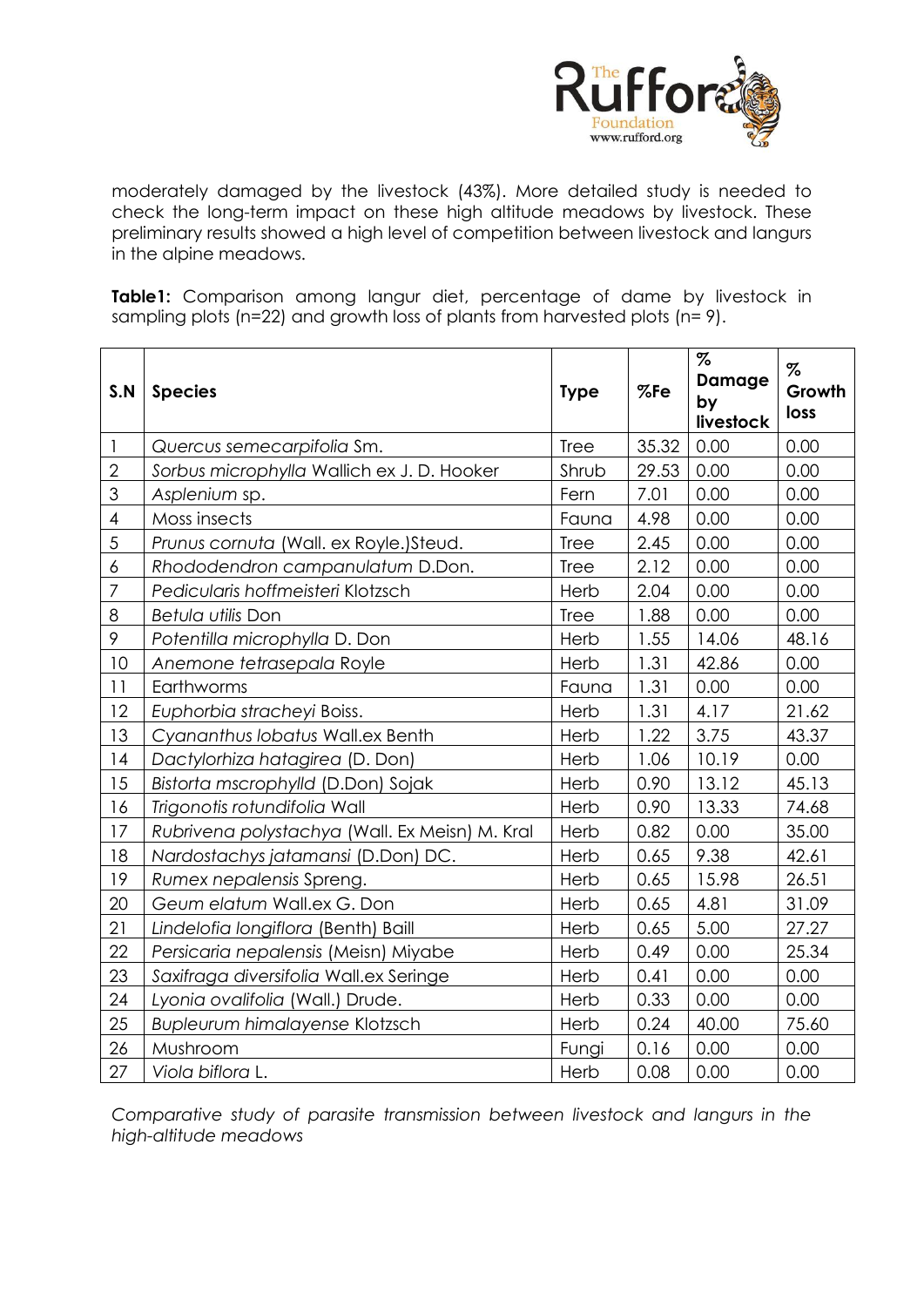

moderately damaged by the livestock (43%). More detailed study is needed to check the long-term impact on these high altitude meadows by livestock. These preliminary results showed a high level of competition between livestock and langurs in the alpine meadows.

**Table1:** Comparison among langur diet, percentage of dame by livestock in sampling plots (n=22) and growth loss of plants from harvested plots (n= 9).

| S.N                      | <b>Species</b>                                 | <b>Type</b> | %Fe   | $\%$<br><b>Damage</b><br>by<br>livestock | $\%$<br>Growth<br>loss |
|--------------------------|------------------------------------------------|-------------|-------|------------------------------------------|------------------------|
| $\mathbf{I}$             | Quercus semecarpifolia Sm.                     | Tree        | 35.32 | 0.00                                     | 0.00                   |
| $\mathbf{2}$             | Sorbus microphylla Wallich ex J. D. Hooker     | Shrub       | 29.53 | 0.00                                     | 0.00                   |
| 3                        | Asplenium sp.                                  | Fern        | 7.01  | 0.00                                     | 0.00                   |
| $\overline{\mathcal{A}}$ | Moss insects                                   | Fauna       | 4.98  | 0.00                                     | 0.00                   |
| 5                        | Prunus cornuta (Wall. ex Royle.) Steud.        | <b>Tree</b> | 2.45  | 0.00                                     | 0.00                   |
| 6                        | Rhododendron campanulatum D.Don.               | <b>Tree</b> | 2.12  | 0.00                                     | 0.00                   |
| $\overline{7}$           | Pedicularis hoffmeisteri Klotzsch              | Herb        | 2.04  | 0.00                                     | 0.00                   |
| 8                        | Betula utilis Don                              | <b>Tree</b> | 1.88  | 0.00                                     | 0.00                   |
| 9                        | Potentilla microphylla D. Don                  | Herb        | 1.55  | 14.06                                    | 48.16                  |
| 10                       | Anemone tetrasepala Royle                      | Herb        | 1.31  | 42.86                                    | 0.00                   |
| 11                       | Earthworms                                     | Fauna       | 1.31  | 0.00                                     | 0.00                   |
| 12                       | Euphorbia stracheyi Boiss.                     | Herb        | 1.31  | 4.17                                     | 21.62                  |
| 13                       | Cyananthus lobatus Wall.ex Benth               | Herb        | 1.22  | 3.75                                     | 43.37                  |
| 14                       | Dactylorhiza hatagirea (D. Don)                |             | 1.06  | 10.19                                    | 0.00                   |
| 15                       | Bistorta mscrophylld (D.Don) Sojak             |             | 0.90  | 13.12                                    | 45.13                  |
| 16                       | Trigonotis rotundifolia Wall                   |             | 0.90  | 13.33                                    | 74.68                  |
| 17                       | Rubrivena polystachya (Wall. Ex Meisn) M. Kral | Herb        | 0.82  | 0.00                                     | 35.00                  |
| 18                       | Nardostachys jatamansi (D.Don) DC.             | Herb        | 0.65  | 9.38                                     | 42.61                  |
| 19                       | Rumex nepalensis Spreng.                       | Herb        | 0.65  | 15.98                                    | 26.51                  |
| 20                       | Geum elatum Wall.ex G. Don                     | Herb        | 0.65  | 4.81                                     | 31.09                  |
| 21                       | Lindelofia longiflora (Benth) Baill            | Herb        | 0.65  | 5.00                                     | 27.27                  |
| 22                       | Persicaria nepalensis (Meisn) Miyabe           | Herb        | 0.49  | 0.00                                     | 25.34                  |
| 23                       | Saxifraga diversifolia Wall.ex Seringe         | Herb        | 0.41  | 0.00                                     | 0.00                   |
| 24                       | Lyonia ovalifolia (Wall.) Drude.               | Herb        | 0.33  | 0.00                                     | 0.00                   |
| 25                       | Bupleurum himalayense Klotzsch                 | Herb        | 0.24  | 40.00                                    | 75.60                  |
| 26                       | Mushroom                                       | Fungi       | 0.16  | 0.00                                     | 0.00                   |
| 27                       | Viola biflora L.                               | Herb        | 0.08  | 0.00                                     | 0.00                   |

*Comparative study of parasite transmission between livestock and langurs in the high-altitude meadows*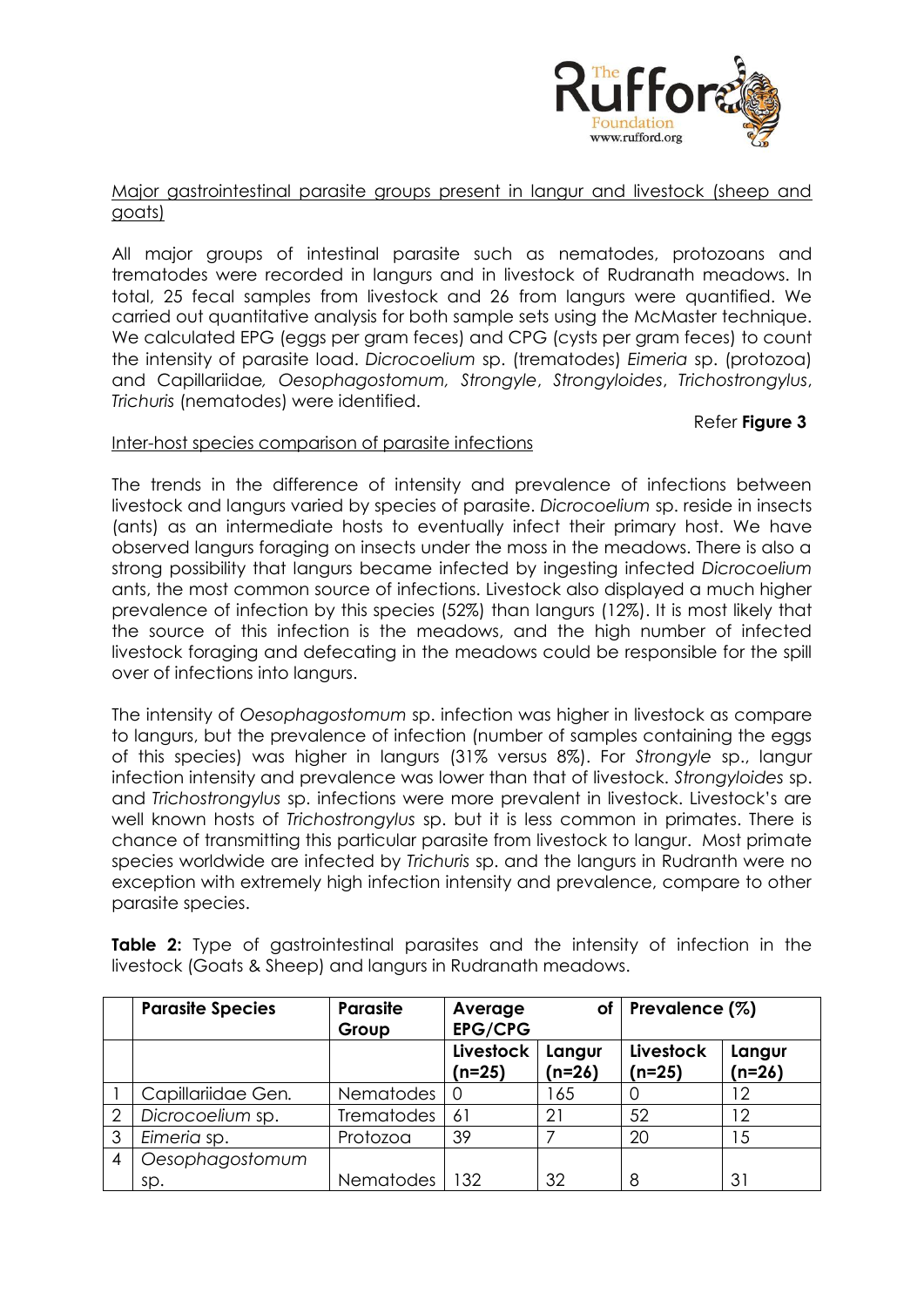

#### Major gastrointestinal parasite groups present in langur and livestock (sheep and goats)

All major groups of intestinal parasite such as nematodes, protozoans and trematodes were recorded in langurs and in livestock of Rudranath meadows. In total, 25 fecal samples from livestock and 26 from langurs were quantified. We carried out quantitative analysis for both sample sets using the McMaster technique. We calculated EPG (eggs per gram feces) and CPG (cysts per gram feces) to count the intensity of parasite load. *Dicrocoelium* sp. (trematodes) *Eimeria* sp. (protozoa) and Capillariidae*, Oesophagostomum, Strongyle*, *Strongyloides*, *Trichostrongylus*, *Trichuris* (nematodes) were identified.

#### Refer **Figure 3**

# Inter-host species comparison of parasite infections

The trends in the difference of intensity and prevalence of infections between livestock and langurs varied by species of parasite. *Dicrocoelium* sp. reside in insects (ants) as an intermediate hosts to eventually infect their primary host. We have observed langurs foraging on insects under the moss in the meadows. There is also a strong possibility that langurs became infected by ingesting infected *Dicrocoelium* ants, the most common source of infections. Livestock also displayed a much higher prevalence of infection by this species (52%) than langurs (12%). It is most likely that the source of this infection is the meadows, and the high number of infected livestock foraging and defecating in the meadows could be responsible for the spill over of infections into langurs.

The intensity of *Oesophagostomum* sp. infection was higher in livestock as compare to langurs, but the prevalence of infection (number of samples containing the eggs of this species) was higher in langurs (31% versus 8%). For *Strongyle* sp., langur infection intensity and prevalence was lower than that of livestock. *Strongyloides* sp. and *Trichostrongylus* sp. infections were more prevalent in livestock. Livestock's are well known hosts of *Trichostrongylus* sp. but it is less common in primates. There is chance of transmitting this particular parasite from livestock to langur. Most primate species worldwide are infected by *Trichuris* sp. and the langurs in Rudranth were no exception with extremely high infection intensity and prevalence, compare to other parasite species.

|   | <b>Parasite Species</b> | <b>Parasite</b><br>Group | of<br>Average<br><b>EPG/CPG</b> |                    | Prevalence $(%)$      |                    |
|---|-------------------------|--------------------------|---------------------------------|--------------------|-----------------------|--------------------|
|   |                         |                          | Livestock<br>(n=25)             | Langur<br>$(n=26)$ | Livestock<br>$(n=25)$ | Langur<br>$(n=26)$ |
|   | Capillariidae Gen.      | <b>Nematodes</b>         |                                 | 165                |                       | 12                 |
| 2 | Dicrocoelium sp.        | <b>Trematodes</b>        | 61                              | 21                 | 52                    | 12                 |
| 3 | Eimeria sp.             | Protozoa                 | 39                              |                    | 20                    | 15                 |
| 4 | Oesophagostomum         |                          |                                 |                    |                       |                    |
|   | sp.                     | Nematodes                | 132                             | 32                 | 8                     | 31                 |

**Table 2:** Type of gastrointestinal parasites and the intensity of infection in the livestock (Goats & Sheep) and langurs in Rudranath meadows.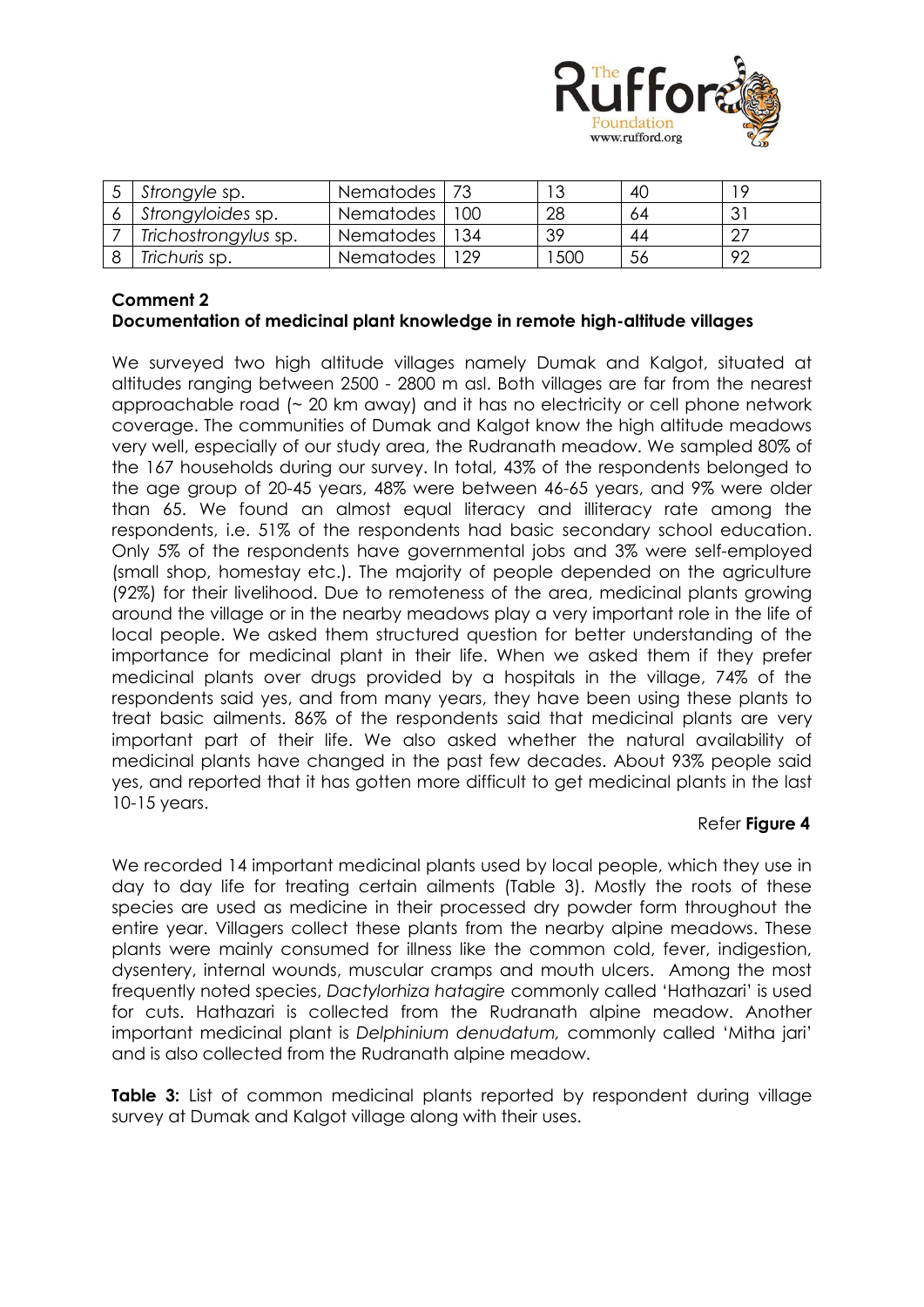

| Strongyle sp.        | Nematodes   73  |     |     | 40 | 1 Q |
|----------------------|-----------------|-----|-----|----|-----|
| Strongyloides sp.    | Nematodes       | 100 | 28  | 64 |     |
| Trichostrongylus sp. | Nematodes       | 134 | 39  | 44 |     |
| Trichuris sp.        | Nematodes   129 |     | 500 | 56 | -92 |

# **Comment 2**

# **Documentation of medicinal plant knowledge in remote high-altitude villages**

We surveyed two high altitude villages namely Dumak and Kalgot, situated at altitudes ranging between 2500 - 2800 m asl. Both villages are far from the nearest approachable road (~ 20 km away) and it has no electricity or cell phone network coverage. The communities of Dumak and Kalgot know the high altitude meadows very well, especially of our study area, the Rudranath meadow. We sampled 80% of the 167 households during our survey. In total, 43% of the respondents belonged to the age group of 20-45 years, 48% were between 46-65 years, and 9% were older than 65. We found an almost equal literacy and illiteracy rate among the respondents, i.e. 51% of the respondents had basic secondary school education. Only 5% of the respondents have governmental jobs and 3% were self-employed (small shop, homestay etc.). The majority of people depended on the agriculture (92%) for their livelihood. Due to remoteness of the area, medicinal plants growing around the village or in the nearby meadows play a very important role in the life of local people. We asked them structured question for better understanding of the importance for medicinal plant in their life. When we asked them if they prefer medicinal plants over drugs provided by a hospitals in the village, 74% of the respondents said yes, and from many years, they have been using these plants to treat basic ailments. 86% of the respondents said that medicinal plants are very important part of their life. We also asked whether the natural availability of medicinal plants have changed in the past few decades. About 93% people said yes, and reported that it has gotten more difficult to get medicinal plants in the last 10-15 years.

# Refer **Figure 4**

We recorded 14 important medicinal plants used by local people, which they use in day to day life for treating certain ailments (Table 3). Mostly the roots of these species are used as medicine in their processed dry powder form throughout the entire year. Villagers collect these plants from the nearby alpine meadows. These plants were mainly consumed for illness like the common cold, fever, indigestion, dysentery, internal wounds, muscular cramps and mouth ulcers. Among the most frequently noted species, *Dactylorhiza hatagire* commonly called 'Hathazari' is used for cuts. Hathazari is collected from the Rudranath alpine meadow. Another important medicinal plant is *Delphinium denudatum,* commonly called 'Mitha jari' and is also collected from the Rudranath alpine meadow.

**Table 3:** List of common medicinal plants reported by respondent during village survey at Dumak and Kalgot village along with their uses.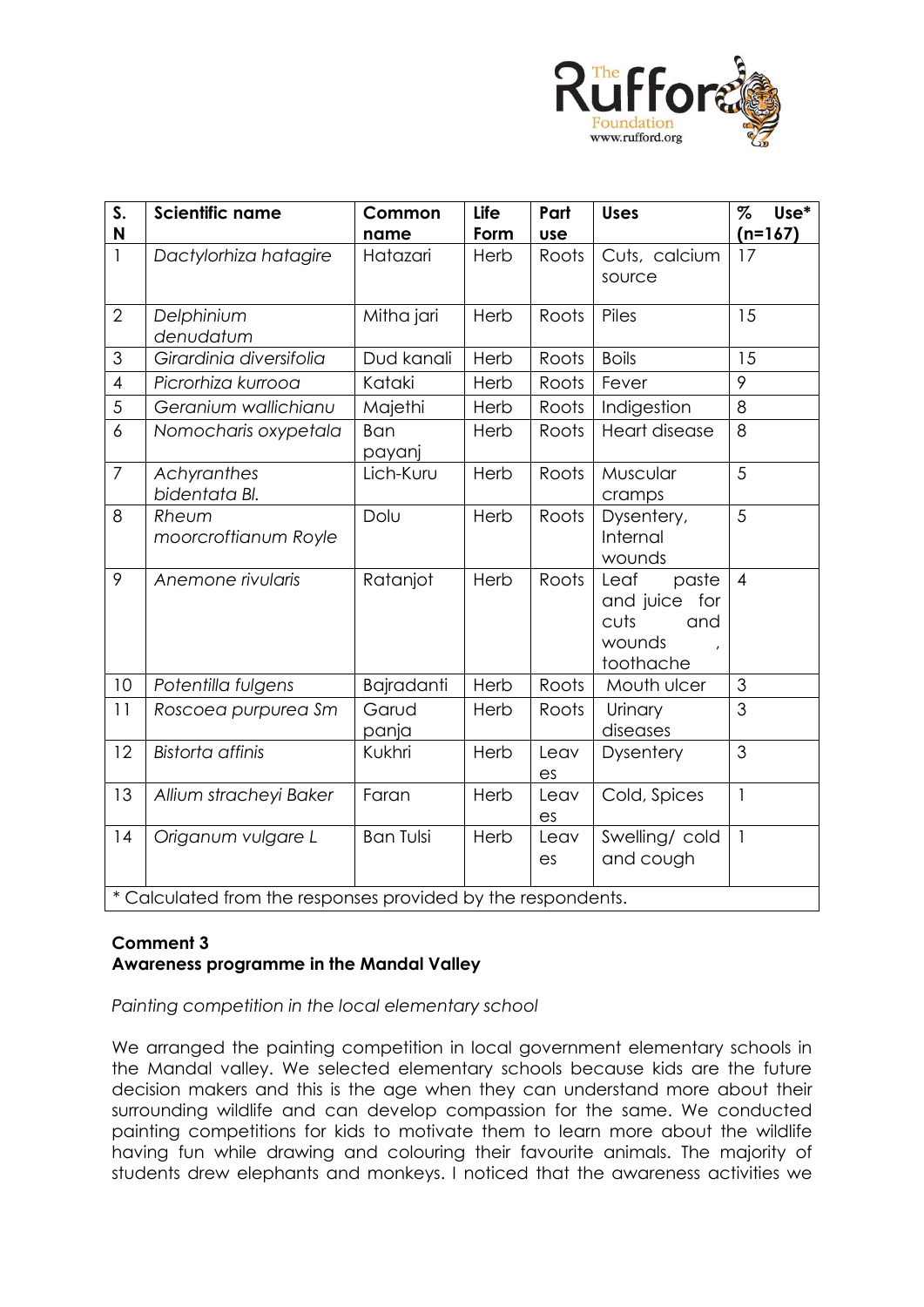

| S.<br>N        | <b>Scientific name</b>                                       | Common<br>name   | Life<br>Form | Part<br><b>use</b> | <b>Uses</b>                                                             | $\%$<br>Use*<br>$(n=167)$ |  |
|----------------|--------------------------------------------------------------|------------------|--------------|--------------------|-------------------------------------------------------------------------|---------------------------|--|
| $\overline{1}$ | Dactylorhiza hatagire                                        | Hatazari         | Herb         | Roots              | Cuts, calcium<br>source                                                 | 17                        |  |
| $\overline{2}$ | Delphinium<br>denudatum                                      | Mitha jari       | Herb         | Roots              | Piles                                                                   | 15                        |  |
| 3              | Girardinia diversifolia                                      | Dud kanali       | Herb         | Roots              | <b>Boils</b>                                                            | 15                        |  |
| $\overline{4}$ | Picrorhiza kurrooa                                           | Kataki           | Herb         | Roots              | Fever                                                                   | 9                         |  |
| 5              | Geranium wallichianu                                         | Majethi          | Herb         | Roots              | Indigestion                                                             | 8                         |  |
| 6              | Nomocharis oxypetala                                         | Ban<br>payanj    | Herb         | Roots              | <b>Heart disease</b>                                                    | 8                         |  |
| $\overline{7}$ | Achyranthes<br>bidentata Bl.                                 | Lich-Kuru        | Herb         | Roots              | Muscular<br>cramps                                                      | 5                         |  |
| 8              | Rheum<br>moorcroftianum Royle                                | Dolu             | Herb         | Roots              | Dysentery,<br>Internal<br>wounds                                        | 5                         |  |
| 9              | Anemone rivularis                                            | Ratanjot         | Herb         | Roots              | Leaf<br>paste<br>and juice<br>for<br>cuts<br>and<br>wounds<br>toothache | $\overline{4}$            |  |
| 10             | Potentilla fulgens                                           | Bajradanti       | Herb         | Roots              | Mouth ulcer                                                             | 3                         |  |
| 11             | Roscoea purpurea Sm                                          | Garud<br>panja   | Herb         | Roots              | Urinary<br>diseases                                                     | 3                         |  |
| 12             | <b>Bistorta</b> affinis                                      | Kukhri           | Herb         | Leav<br>es         | Dysentery                                                               | 3                         |  |
| 13             | Allium stracheyi Baker                                       | Faran            | Herb         | Leav<br>es         | Cold, Spices                                                            | $\mathbf{1}$              |  |
| 14             | Origanum vulgare L                                           | <b>Ban Tulsi</b> | Herb         | Leav<br>es         | Swelling/cold<br>and cough                                              | $\mathbf{1}$              |  |
|                | * Calculated from the responses provided by the respondents. |                  |              |                    |                                                                         |                           |  |

# **Comment 3 Awareness programme in the Mandal Valley**

# *Painting competition in the local elementary school*

We arranged the painting competition in local government elementary schools in the Mandal valley. We selected elementary schools because kids are the future decision makers and this is the age when they can understand more about their surrounding wildlife and can develop compassion for the same. We conducted painting competitions for kids to motivate them to learn more about the wildlife having fun while drawing and colouring their favourite animals. The majority of students drew elephants and monkeys. I noticed that the awareness activities we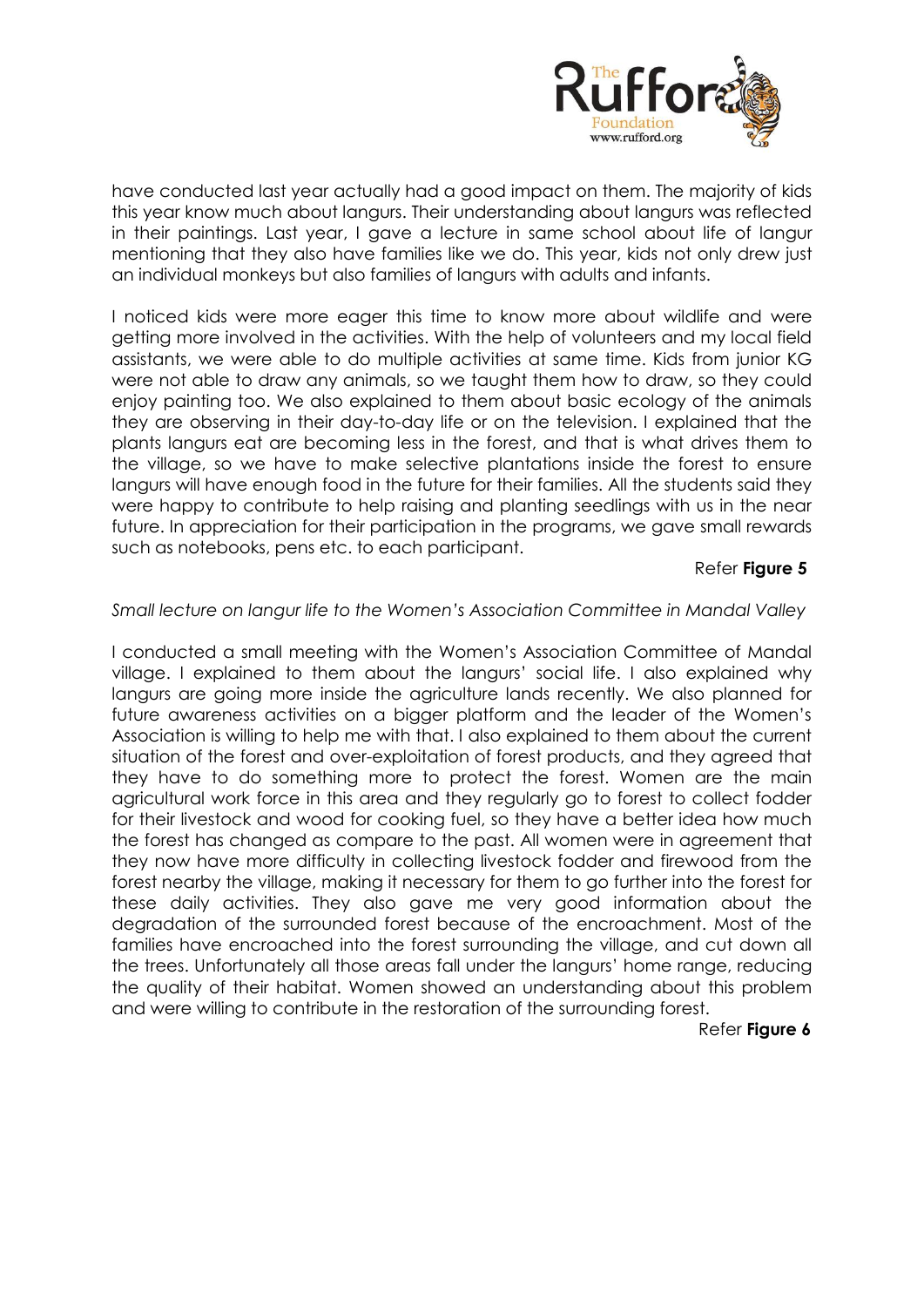

have conducted last year actually had a good impact on them. The majority of kids this year know much about langurs. Their understanding about langurs was reflected in their paintings. Last year, I gave a lecture in same school about life of langur mentioning that they also have families like we do. This year, kids not only drew just an individual monkeys but also families of langurs with adults and infants.

I noticed kids were more eager this time to know more about wildlife and were getting more involved in the activities. With the help of volunteers and my local field assistants, we were able to do multiple activities at same time. Kids from junior KG were not able to draw any animals, so we taught them how to draw, so they could enjoy painting too. We also explained to them about basic ecology of the animals they are observing in their day-to-day life or on the television. I explained that the plants langurs eat are becoming less in the forest, and that is what drives them to the village, so we have to make selective plantations inside the forest to ensure langurs will have enough food in the future for their families. All the students said they were happy to contribute to help raising and planting seedlings with us in the near future. In appreciation for their participation in the programs, we gave small rewards such as notebooks, pens etc. to each participant.

# Refer **Figure 5**

#### *Small lecture on langur life to the Women's Association Committee in Mandal Valley*

I conducted a small meeting with the Women's Association Committee of Mandal village. I explained to them about the langurs' social life. I also explained why langurs are going more inside the agriculture lands recently. We also planned for future awareness activities on a bigger platform and the leader of the Women's Association is willing to help me with that. I also explained to them about the current situation of the forest and over-exploitation of forest products, and they agreed that they have to do something more to protect the forest. Women are the main agricultural work force in this area and they regularly go to forest to collect fodder for their livestock and wood for cooking fuel, so they have a better idea how much the forest has changed as compare to the past. All women were in agreement that they now have more difficulty in collecting livestock fodder and firewood from the forest nearby the village, making it necessary for them to go further into the forest for these daily activities. They also gave me very good information about the degradation of the surrounded forest because of the encroachment. Most of the families have encroached into the forest surrounding the village, and cut down all the trees. Unfortunately all those areas fall under the langurs' home range, reducing the quality of their habitat. Women showed an understanding about this problem and were willing to contribute in the restoration of the surrounding forest.

Refer **Figure 6**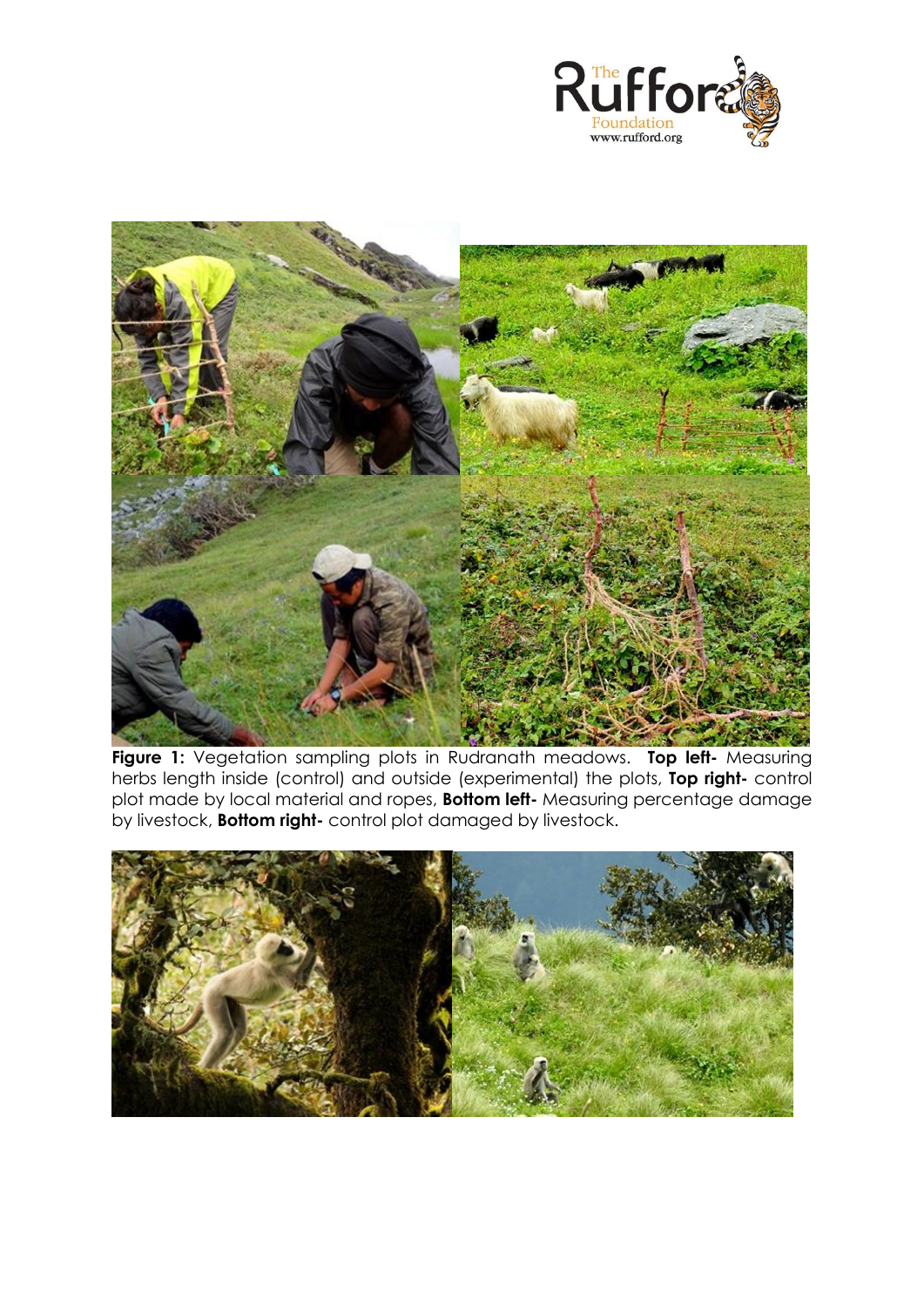



**Figure 1:** Vegetation sampling plots in Rudranath meadows. **Top left-** Measuring herbs length inside (control) and outside (experimental) the plots, **Top right-** control plot made by local material and ropes, **Bottom left-** Measuring percentage damage by livestock, **Bottom right-** control plot damaged by livestock.

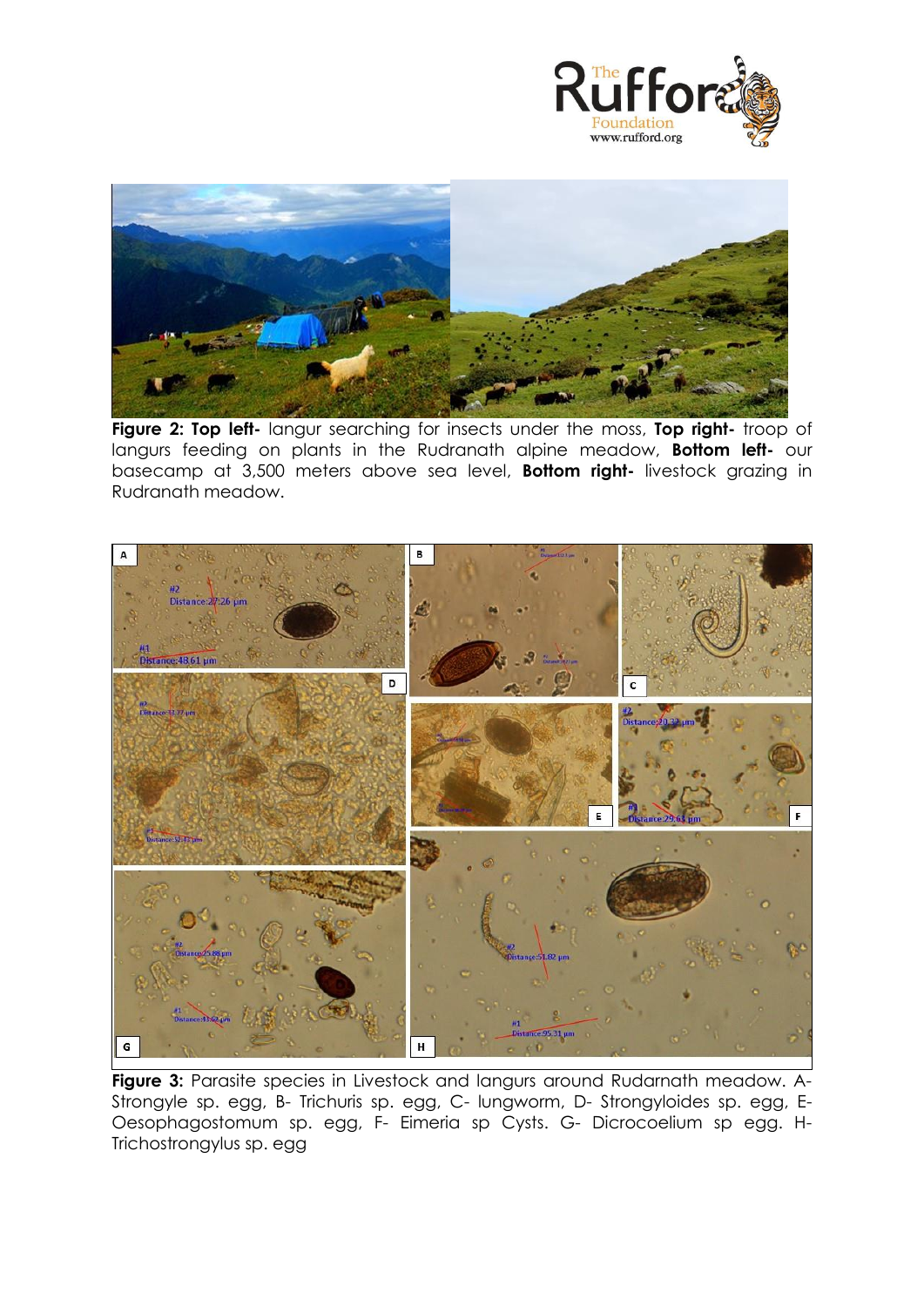



**Figure 2: Top left-** langur searching for insects under the moss, **Top right-** troop of langurs feeding on plants in the Rudranath alpine meadow, **Bottom left-** our basecamp at 3,500 meters above sea level, **Bottom right-** livestock grazing in Rudranath meadow.



**Figure 3:** Parasite species in Livestock and langurs around Rudarnath meadow. A-Strongyle sp. egg, B- Trichuris sp. egg, C- lungworm, D- Strongyloides sp. egg, E-Oesophagostomum sp. egg, F- Eimeria sp Cysts. G- Dicrocoelium sp egg. H-Trichostrongylus sp. egg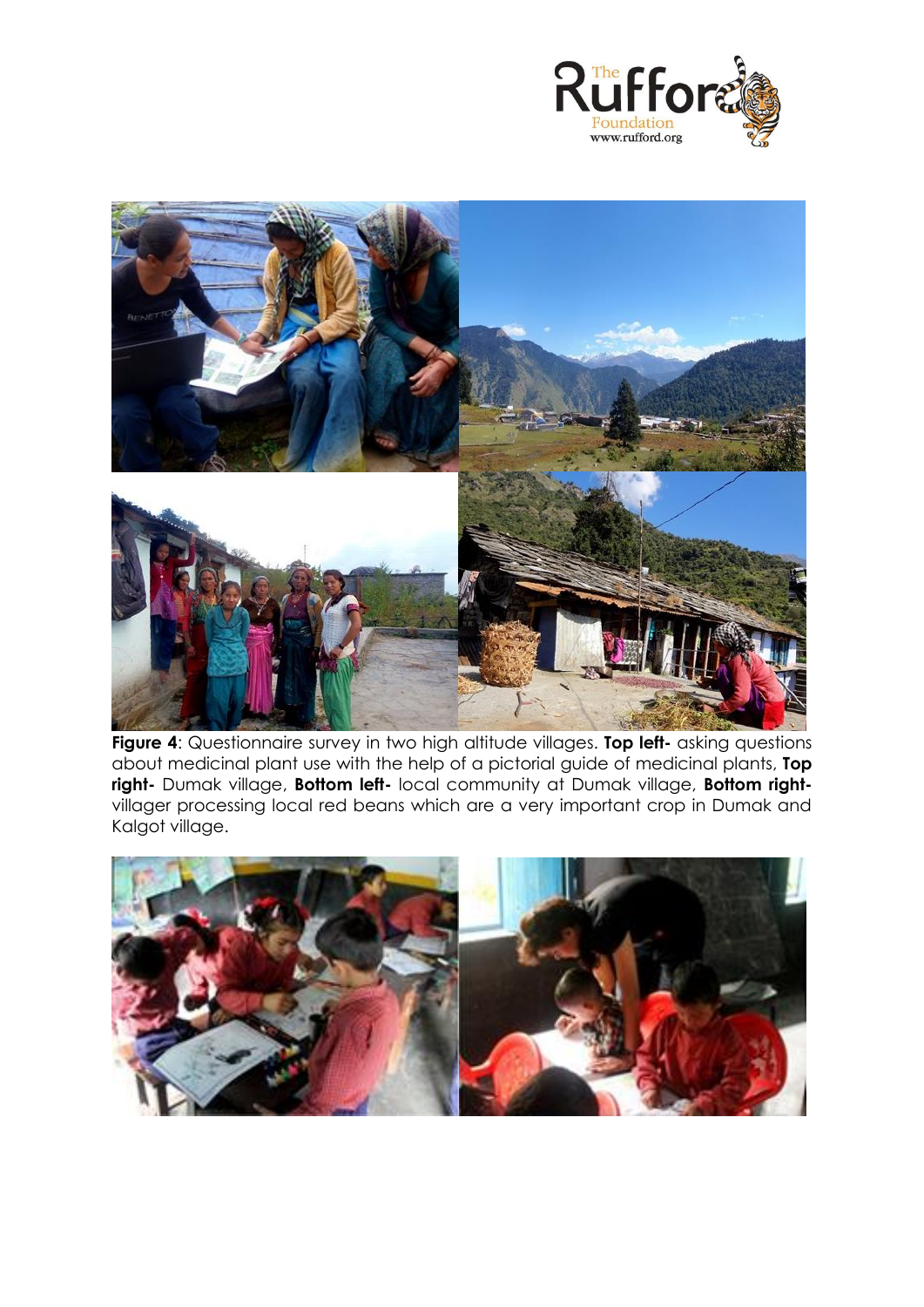



**Figure 4**: Questionnaire survey in two high altitude villages. **Top left-** asking questions about medicinal plant use with the help of a pictorial guide of medicinal plants, **Top right-** Dumak village, **Bottom left-** local community at Dumak village, **Bottom right**villager processing local red beans which are a very important crop in Dumak and Kalgot village.

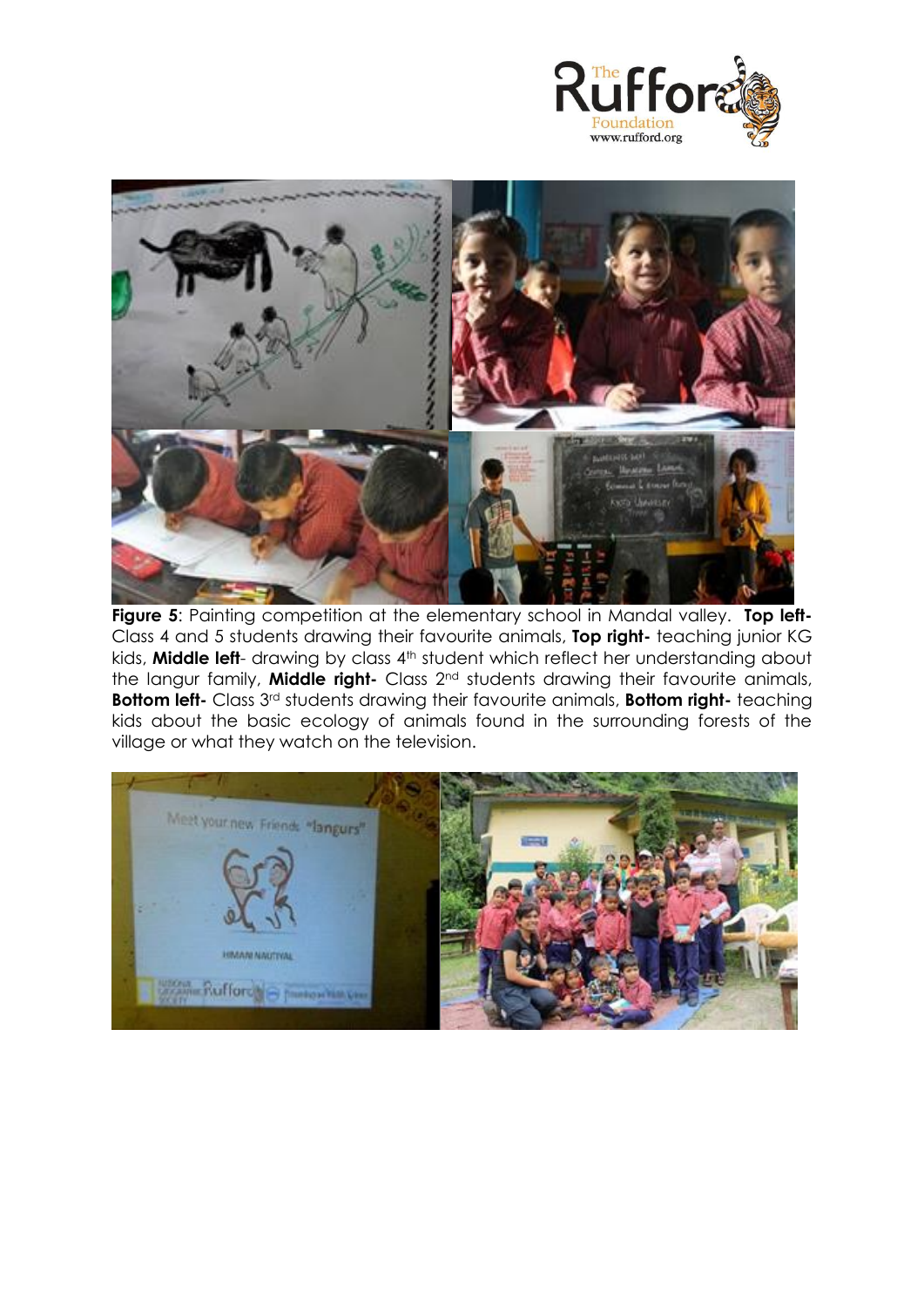



Figure 5: Painting competition at the elementary school in Mandal valley. Top left-Class 4 and 5 students drawing their favourite animals, **Top right-** teaching junior KG kids, **Middle left**- drawing by class 4<sup>th</sup> student which reflect her understanding about the langur family, **Middle right-** Class 2nd students drawing their favourite animals, **Bottom left-** Class 3rd students drawing their favourite animals, **Bottom right-** teaching kids about the basic ecology of animals found in the surrounding forests of the village or what they watch on the television.

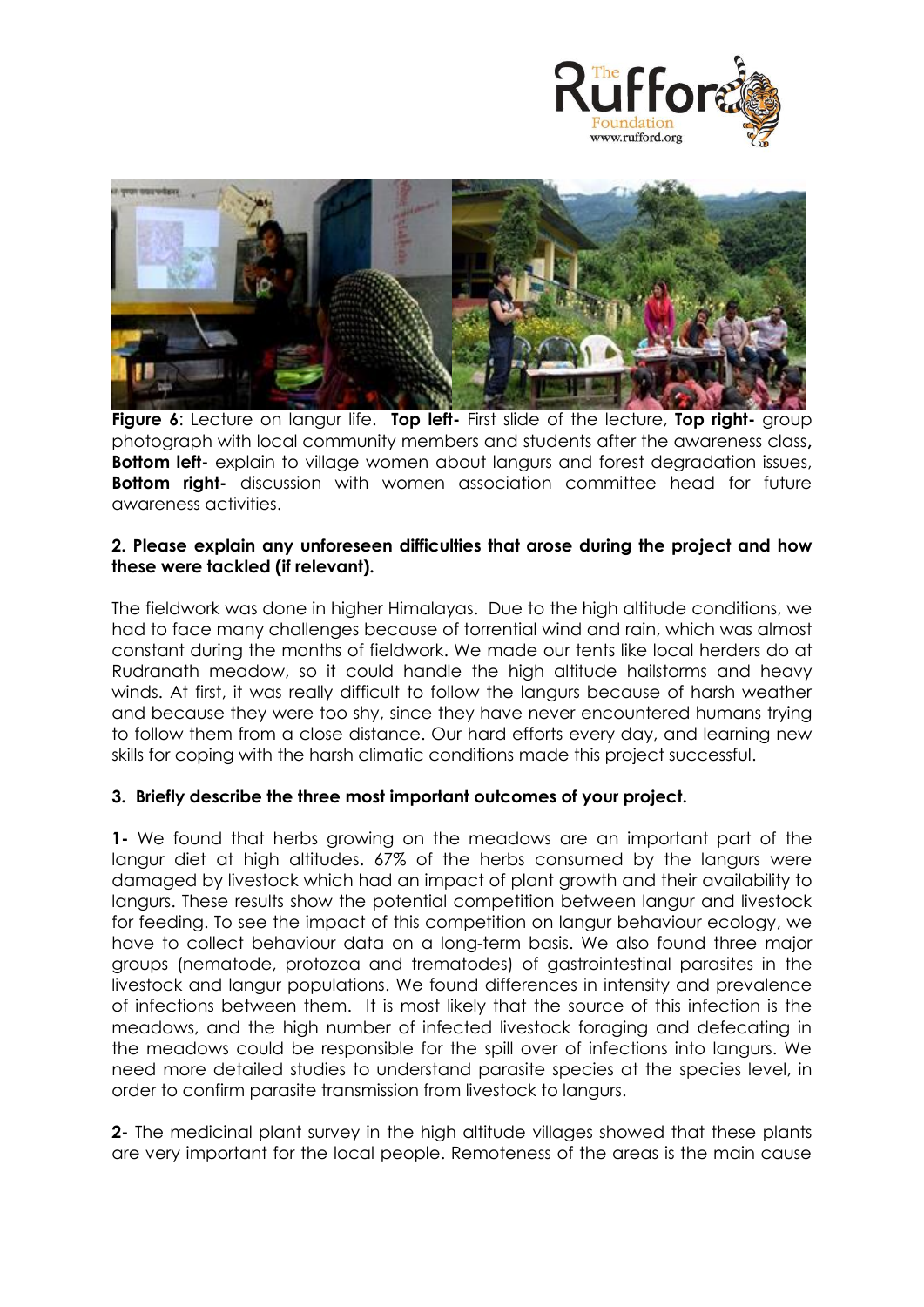



**Figure 6**: Lecture on langur life. **Top left-** First slide of the lecture, **Top right-** group photograph with local community members and students after the awareness class**, Bottom left-** explain to village women about langurs and forest degradation issues, **Bottom right-** discussion with women association committee head for future awareness activities.

# **2. Please explain any unforeseen difficulties that arose during the project and how these were tackled (if relevant).**

The fieldwork was done in higher Himalayas. Due to the high altitude conditions, we had to face many challenges because of torrential wind and rain, which was almost constant during the months of fieldwork. We made our tents like local herders do at Rudranath meadow, so it could handle the high altitude hailstorms and heavy winds. At first, it was really difficult to follow the langurs because of harsh weather and because they were too shy, since they have never encountered humans trying to follow them from a close distance. Our hard efforts every day, and learning new skills for coping with the harsh climatic conditions made this project successful.

# **3. Briefly describe the three most important outcomes of your project.**

**1-** We found that herbs growing on the meadows are an important part of the langur diet at high altitudes. 67% of the herbs consumed by the langurs were damaged by livestock which had an impact of plant growth and their availability to langurs. These results show the potential competition between langur and livestock for feeding. To see the impact of this competition on langur behaviour ecology, we have to collect behaviour data on a long-term basis. We also found three major groups (nematode, protozoa and trematodes) of gastrointestinal parasites in the livestock and langur populations. We found differences in intensity and prevalence of infections between them. It is most likely that the source of this infection is the meadows, and the high number of infected livestock foraging and defecating in the meadows could be responsible for the spill over of infections into langurs. We need more detailed studies to understand parasite species at the species level, in order to confirm parasite transmission from livestock to langurs.

**2-** The medicinal plant survey in the high altitude villages showed that these plants are very important for the local people. Remoteness of the areas is the main cause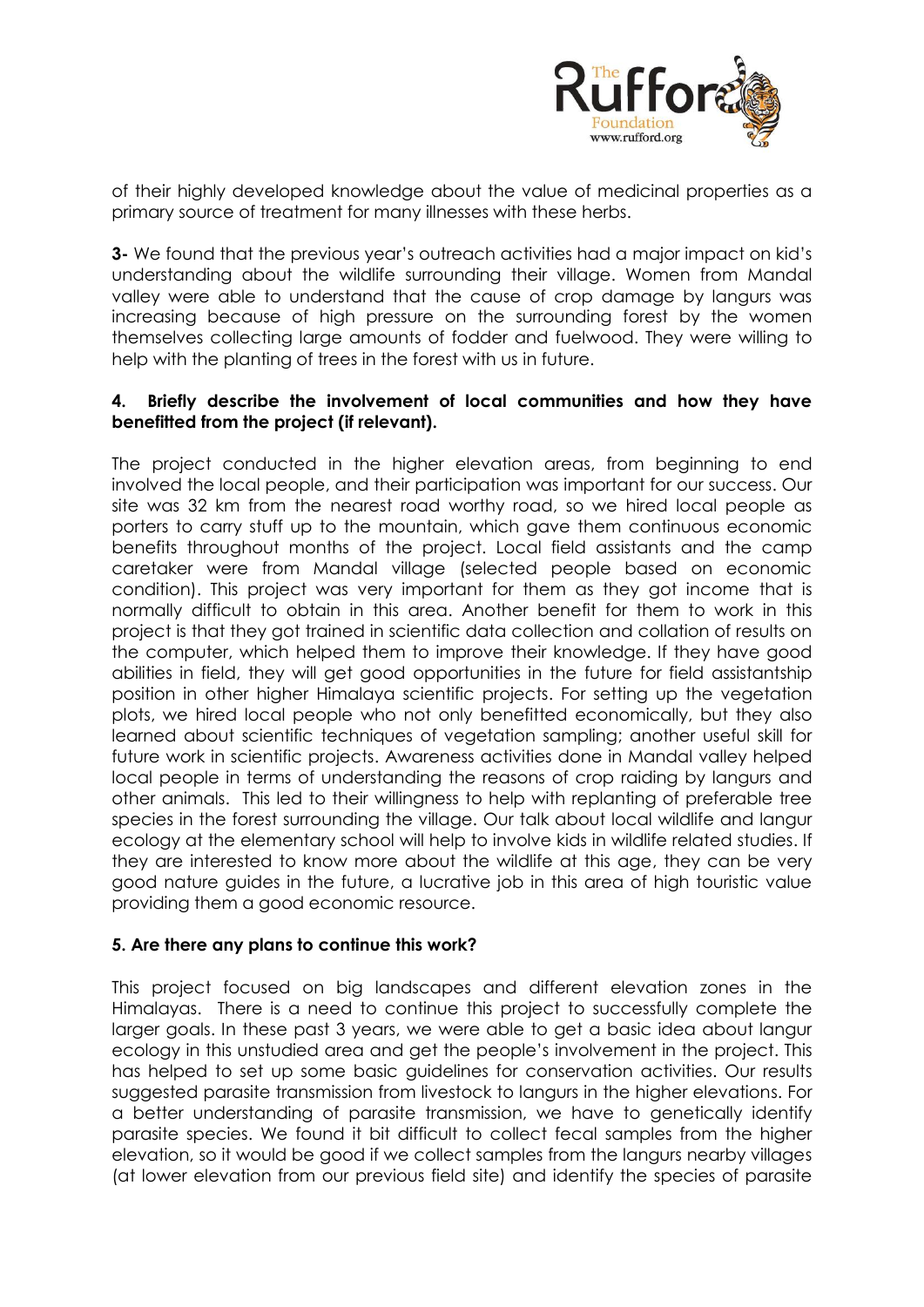

of their highly developed knowledge about the value of medicinal properties as a primary source of treatment for many illnesses with these herbs.

**3-** We found that the previous year's outreach activities had a major impact on kid's understanding about the wildlife surrounding their village. Women from Mandal valley were able to understand that the cause of crop damage by langurs was increasing because of high pressure on the surrounding forest by the women themselves collecting large amounts of fodder and fuelwood. They were willing to help with the planting of trees in the forest with us in future.

#### **4. Briefly describe the involvement of local communities and how they have benefitted from the project (if relevant).**

The project conducted in the higher elevation areas, from beginning to end involved the local people, and their participation was important for our success. Our site was 32 km from the nearest road worthy road, so we hired local people as porters to carry stuff up to the mountain, which gave them continuous economic benefits throughout months of the project. Local field assistants and the camp caretaker were from Mandal village (selected people based on economic condition). This project was very important for them as they got income that is normally difficult to obtain in this area. Another benefit for them to work in this project is that they got trained in scientific data collection and collation of results on the computer, which helped them to improve their knowledge. If they have good abilities in field, they will get good opportunities in the future for field assistantship position in other higher Himalaya scientific projects. For setting up the vegetation plots, we hired local people who not only benefitted economically, but they also learned about scientific techniques of vegetation sampling; another useful skill for future work in scientific projects. Awareness activities done in Mandal valley helped local people in terms of understanding the reasons of crop raiding by langurs and other animals. This led to their willingness to help with replanting of preferable tree species in the forest surrounding the village. Our talk about local wildlife and langur ecology at the elementary school will help to involve kids in wildlife related studies. If they are interested to know more about the wildlife at this age, they can be very good nature guides in the future, a lucrative job in this area of high touristic value providing them a good economic resource.

#### **5. Are there any plans to continue this work?**

This project focused on big landscapes and different elevation zones in the Himalayas. There is a need to continue this project to successfully complete the larger goals. In these past 3 years, we were able to get a basic idea about langur ecology in this unstudied area and get the people's involvement in the project. This has helped to set up some basic guidelines for conservation activities. Our results suggested parasite transmission from livestock to langurs in the higher elevations. For a better understanding of parasite transmission, we have to genetically identify parasite species. We found it bit difficult to collect fecal samples from the higher elevation, so it would be good if we collect samples from the langurs nearby villages (at lower elevation from our previous field site) and identify the species of parasite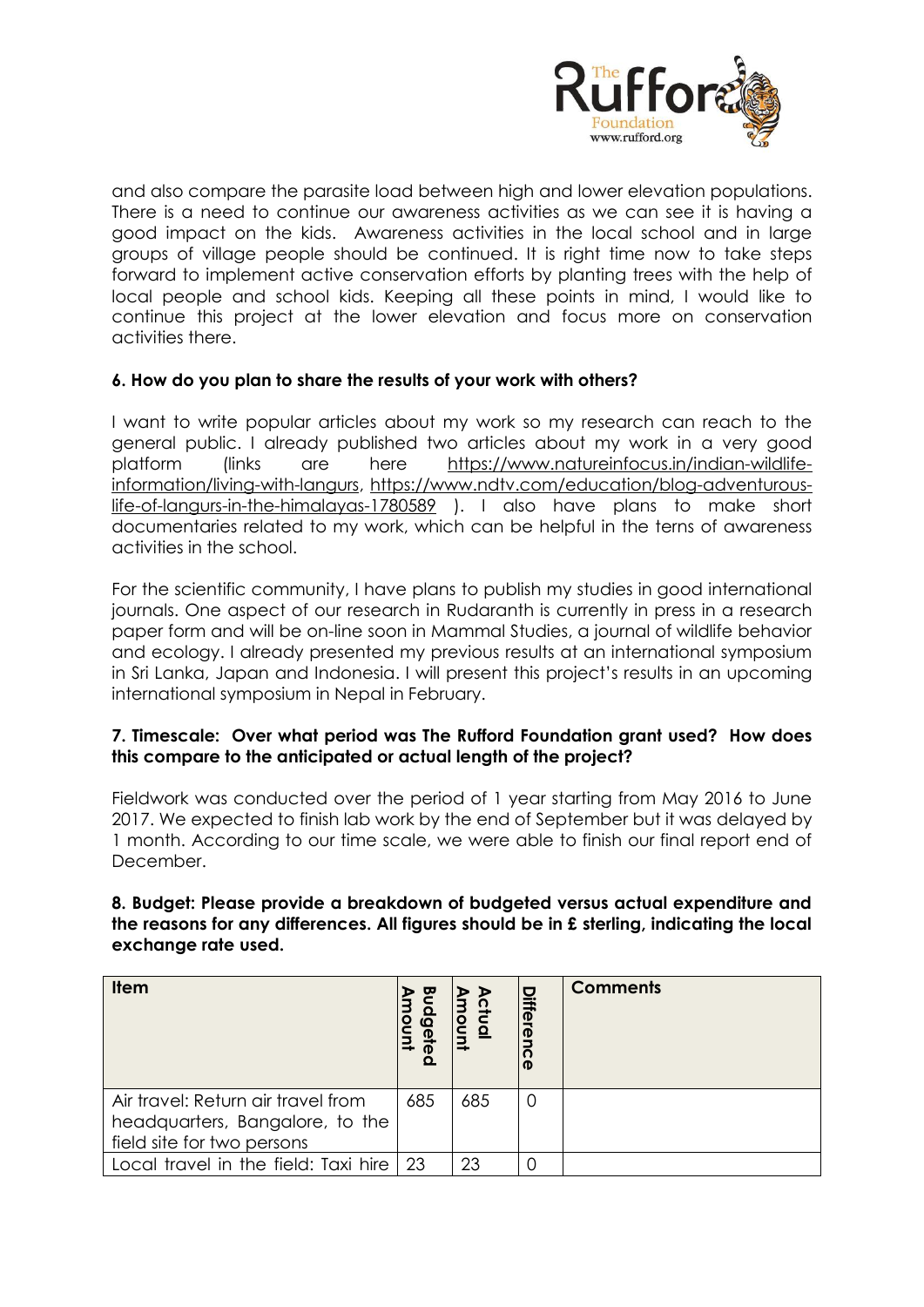

and also compare the parasite load between high and lower elevation populations. There is a need to continue our awareness activities as we can see it is having a good impact on the kids. Awareness activities in the local school and in large groups of village people should be continued. It is right time now to take steps forward to implement active conservation efforts by planting trees with the help of local people and school kids. Keeping all these points in mind, I would like to continue this project at the lower elevation and focus more on conservation activities there.

# **6. How do you plan to share the results of your work with others?**

I want to write popular articles about my work so my research can reach to the general public. I already published two articles about my work in a very good platform (links are here [https://www.natureinfocus.in/indian-wildlife](https://www.natureinfocus.in/indian-wildlife-information/living-with-langurs)[information/living-with-langurs,](https://www.natureinfocus.in/indian-wildlife-information/living-with-langurs) [https://www.ndtv.com/education/blog-adventurous](https://www.ndtv.com/education/blog-adventurous-life-of-langurs-in-the-himalayas-1780589)[life-of-langurs-in-the-himalayas-1780589](https://www.ndtv.com/education/blog-adventurous-life-of-langurs-in-the-himalayas-1780589) ). I also have plans to make short documentaries related to my work, which can be helpful in the terns of awareness activities in the school.

For the scientific community, I have plans to publish my studies in good international journals. One aspect of our research in Rudaranth is currently in press in a research paper form and will be on-line soon in Mammal Studies, a journal of wildlife behavior and ecology. I already presented my previous results at an international symposium in Sri Lanka, Japan and Indonesia. I will present this project's results in an upcoming international symposium in Nepal in February.

# **7. Timescale: Over what period was The Rufford Foundation grant used? How does this compare to the anticipated or actual length of the project?**

Fieldwork was conducted over the period of 1 year starting from May 2016 to June 2017. We expected to finish lab work by the end of September but it was delayed by 1 month. According to our time scale, we were able to finish our final report end of December.

#### **8. Budget: Please provide a breakdown of budgeted versus actual expenditure and the reasons for any differences. All figures should be in £ sterling, indicating the local exchange rate used.**

| <b>Item</b>                          | $\overline{a}$<br>$\overline{\Phi}$<br>መ | ctual<br>non | <b>Differ</b> | <b>Comments</b> |
|--------------------------------------|------------------------------------------|--------------|---------------|-----------------|
| Air travel: Return air travel from   | 685                                      | 685          | O             |                 |
| headquarters, Bangalore, to the      |                                          |              |               |                 |
| field site for two persons           |                                          |              |               |                 |
| Local travel in the field: Taxi hire | -23                                      | 23           |               |                 |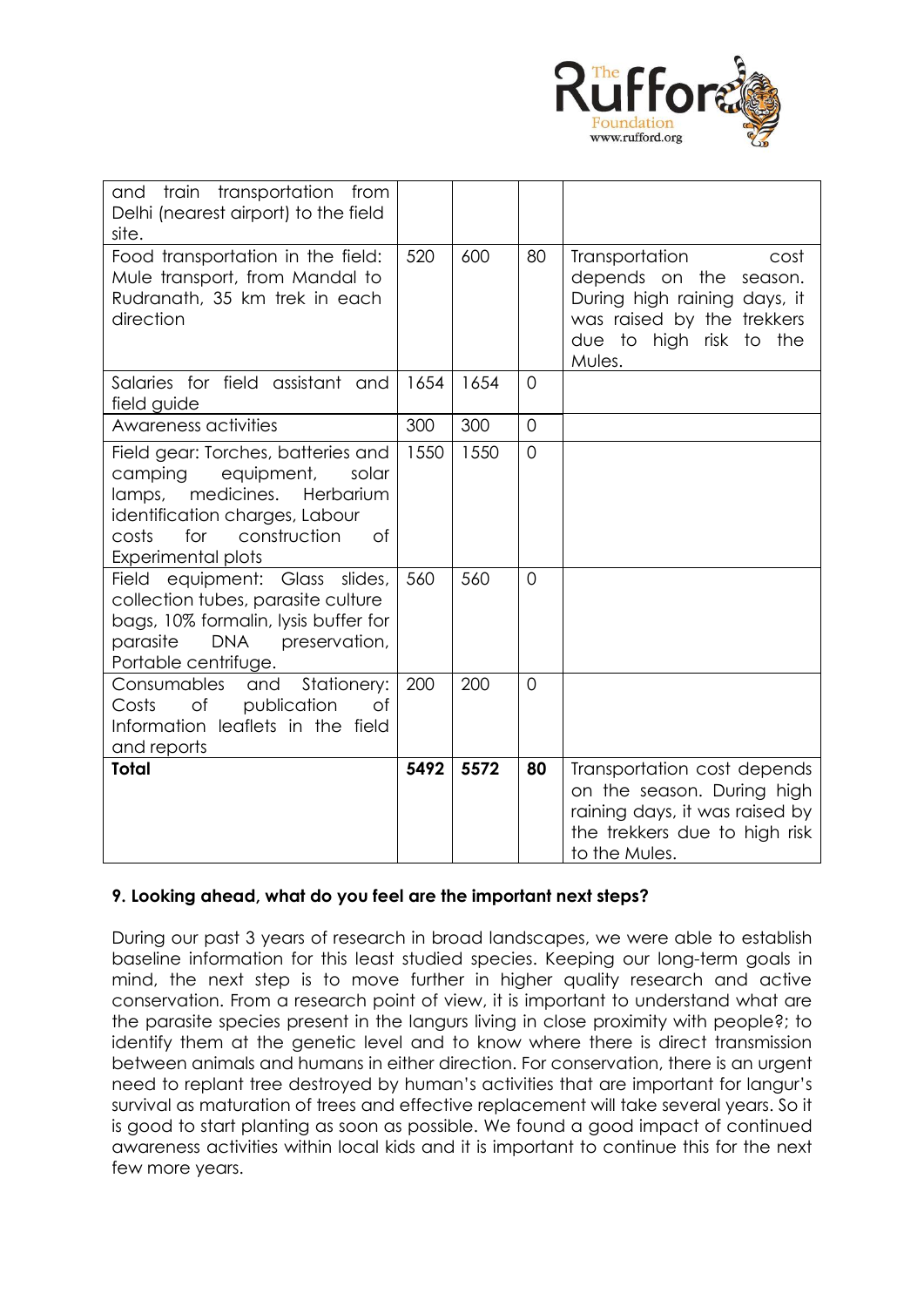

| and train transportation from<br>Delhi (nearest airport) to the field<br>site.                                                                                                                                 |      |      |                |                                                                                                                                                        |
|----------------------------------------------------------------------------------------------------------------------------------------------------------------------------------------------------------------|------|------|----------------|--------------------------------------------------------------------------------------------------------------------------------------------------------|
| Food transportation in the field:<br>Mule transport, from Mandal to<br>Rudranath, 35 km trek in each<br>direction                                                                                              | 520  | 600  | 80             | Transportation<br>cost<br>depends on the<br>season.<br>During high raining days, it<br>was raised by the trekkers<br>due to high risk to the<br>Mules. |
| Salaries for field assistant and<br>field guide                                                                                                                                                                | 1654 | 1654 | $\overline{0}$ |                                                                                                                                                        |
| Awareness activities                                                                                                                                                                                           | 300  | 300  | $\Omega$       |                                                                                                                                                        |
| Field gear: Torches, batteries and<br>camping<br>equipment,<br>solar<br>medicines.<br>Herbarium<br>lamps,<br>identification charges, Labour<br>costs<br>for<br>construction<br>of<br><b>Experimental plots</b> | 1550 | 1550 | $\overline{0}$ |                                                                                                                                                        |
| Field equipment: Glass slides,<br>collection tubes, parasite culture<br>bags, 10% formalin, lysis buffer for<br><b>DNA</b><br>parasite<br>preservation,<br>Portable centrifuge.                                | 560  | 560  | $\overline{0}$ |                                                                                                                                                        |
| Consumables<br>Stationery:<br>and<br>of<br>publication<br>Costs<br>of<br>Information leaflets in the field<br>and reports                                                                                      | 200  | 200  | $\overline{0}$ |                                                                                                                                                        |
| <b>Total</b>                                                                                                                                                                                                   | 5492 | 5572 | 80             | Transportation cost depends<br>on the season. During high<br>raining days, it was raised by<br>the trekkers due to high risk<br>to the Mules.          |

# **9. Looking ahead, what do you feel are the important next steps?**

During our past 3 years of research in broad landscapes, we were able to establish baseline information for this least studied species. Keeping our long-term goals in mind, the next step is to move further in higher quality research and active conservation. From a research point of view, it is important to understand what are the parasite species present in the langurs living in close proximity with people?; to identify them at the genetic level and to know where there is direct transmission between animals and humans in either direction. For conservation, there is an urgent need to replant tree destroyed by human's activities that are important for langur's survival as maturation of trees and effective replacement will take several years. So it is good to start planting as soon as possible. We found a good impact of continued awareness activities within local kids and it is important to continue this for the next few more years.